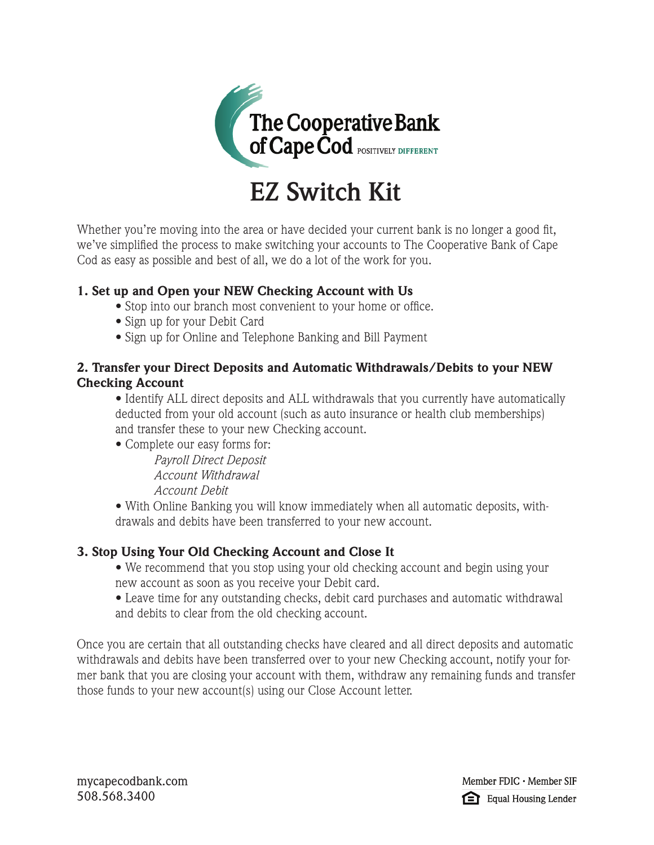

# **EZ Switch Kit**

Whether you're moving into the area or have decided your current bank is no longer a good fit, we've simplified the process to make switching your accounts to The Cooperative Bank of Cape Cod as easy as possible and best of all, we do a lot of the work for you.

## 1. Set up and Open your NEW Checking Account with Us

- Stop into our branch most convenient to your home or office.
- Sign up for your Debit Card
- Sign up for Online and Telephone Banking and Bill Payment

## 2. Transfer your Direct Deposits and Automatic Withdrawals/Debits to your NEW Checking Account

 • Identify ALL direct deposits and ALL withdrawals that you currently have automatically deducted from your old account (such as auto insurance or health club memberships) and transfer these to your new Checking account.

• Complete our easy forms for:

*Payroll Direct Deposit Account Withdrawal Account Debit* 

 • With Online Banking you will know immediately when all automatic deposits, with drawals and debits have been transferred to your new account.

# 3. Stop Using Your Old Checking Account and Close It

 • We recommend that you stop using your old checking account and begin using your new account as soon as you receive your Debit card.

 • Leave time for any outstanding checks, debit card purchases and automatic withdrawal and debits to clear from the old checking account.

Once you are certain that all outstanding checks have cleared and all direct deposits and automatic withdrawals and debits have been transferred over to your new Checking account, notify your former bank that you are closing your account with them, withdraw any remaining funds and transfer those funds to your new account(s) using our Close Account letter.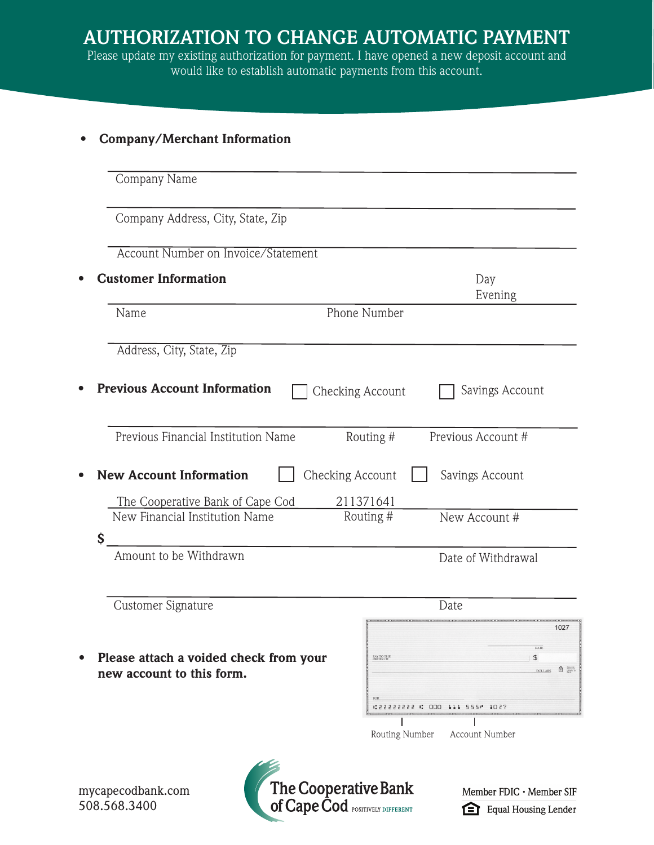| $\bullet$ |  | <b>Company/Merchant Information</b> |  |
|-----------|--|-------------------------------------|--|
|-----------|--|-------------------------------------|--|

| Company Address, City, State, Zip                                   |                               |                                                                                                         |
|---------------------------------------------------------------------|-------------------------------|---------------------------------------------------------------------------------------------------------|
| Account Number on Invoice/Statement                                 |                               |                                                                                                         |
| <b>Customer Information</b>                                         |                               | Day<br>Evening                                                                                          |
| Name                                                                | Phone Number                  |                                                                                                         |
| Address, City, State, Zip                                           |                               |                                                                                                         |
| <b>Previous Account Information</b>                                 | Checking Account              | Savings Account                                                                                         |
| Previous Financial Institution Name                                 | Routing #                     | Previous Account #                                                                                      |
| <b>New Account Information</b><br>The Cooperative Bank of Cape Cod  | Checking Account<br>211371641 | Savings Account                                                                                         |
| New Financial Institution Name                                      | Routing #                     | New Account #                                                                                           |
|                                                                     |                               |                                                                                                         |
| \$<br>Amount to be Withdrawn                                        |                               | Date of Withdrawal                                                                                      |
| Customer Signature                                                  |                               | Date                                                                                                    |
|                                                                     |                               | 1027                                                                                                    |
| Please attach a voided check from your<br>new account to this form. | PAY TO THE ORDER OF<br>FOR    | <b>DATE</b><br>$\frac{1}{2}$<br>$\overbrace{\mathbf{n}}$ $\overbrace{\text{mean on}}$<br><b>DOLLARS</b> |

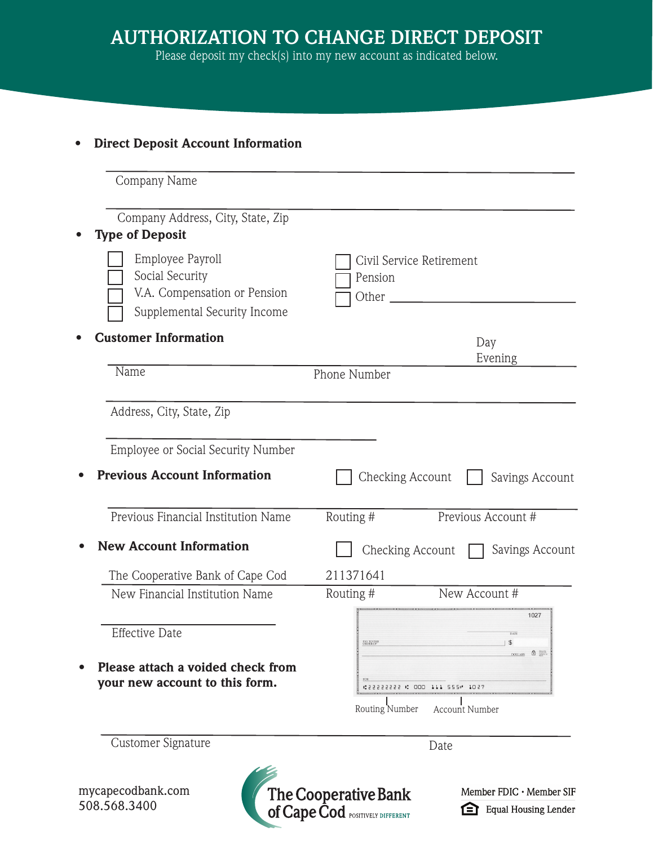Please deposit my check(s) into my new account as indicated below.

## • Direct Deposit Account Information

| Company Name                                                                                        |                    |                                                   |
|-----------------------------------------------------------------------------------------------------|--------------------|---------------------------------------------------|
| Company Address, City, State, Zip<br><b>Type of Deposit</b>                                         |                    |                                                   |
| Employee Payroll<br>Social Security<br>V.A. Compensation or Pension<br>Supplemental Security Income | Pension<br>Other _ | Civil Service Retirement                          |
| <b>Customer Information</b>                                                                         |                    | Day                                               |
| Name                                                                                                | Phone Number       | Evening                                           |
| Address, City, State, Zip                                                                           |                    |                                                   |
| Employee or Social Security Number                                                                  |                    |                                                   |
| <b>Previous Account Information</b>                                                                 | Checking Account   | Savings Account                                   |
| Previous Financial Institution Name                                                                 | Routing #          | Previous Account #                                |
| <b>New Account Information</b>                                                                      | Checking Account   | Savings Account                                   |
| The Cooperative Bank of Cape Cod                                                                    | 211371641          |                                                   |
| New Financial Institution Name                                                                      | Routing #          | New Account #                                     |
| <b>Effective Date</b>                                                                               | PAY TO THE         | 1027<br>$\mathfrak{P}$                            |
| Please attach a voided check from<br>your new account to this form.                                 |                    | DOLLARS <b>D</b><br>1053 1053 1053 1054 1055 1057 |
|                                                                                                     | Routing Number     | <b>Account Number</b>                             |
| Customer Signature                                                                                  |                    | Date                                              |

mycapecodbank.com 508.568.3400



Member FDIC · Member SIF Equal Housing Lender